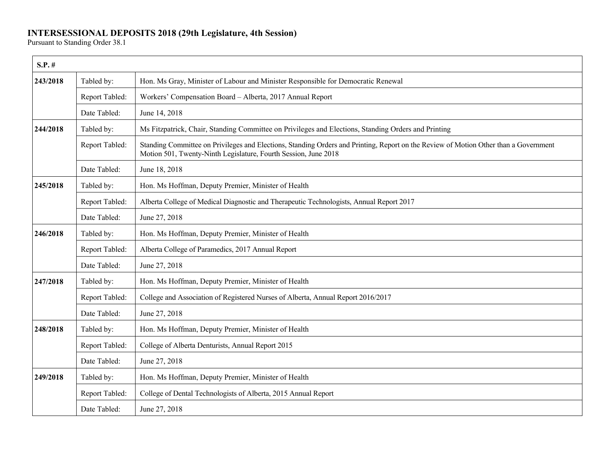## **INTERSESSIONAL DEPOSITS 2018 (29th Legislature, 4th Session)**

Pursuant to Standing Order 38.1

| $S.P.$ # |                |                                                                                                                                                                                                         |
|----------|----------------|---------------------------------------------------------------------------------------------------------------------------------------------------------------------------------------------------------|
| 243/2018 | Tabled by:     | Hon. Ms Gray, Minister of Labour and Minister Responsible for Democratic Renewal                                                                                                                        |
|          | Report Tabled: | Workers' Compensation Board - Alberta, 2017 Annual Report                                                                                                                                               |
|          | Date Tabled:   | June 14, 2018                                                                                                                                                                                           |
| 244/2018 | Tabled by:     | Ms Fitzpatrick, Chair, Standing Committee on Privileges and Elections, Standing Orders and Printing                                                                                                     |
|          | Report Tabled: | Standing Committee on Privileges and Elections, Standing Orders and Printing, Report on the Review of Motion Other than a Government<br>Motion 501, Twenty-Ninth Legislature, Fourth Session, June 2018 |
|          | Date Tabled:   | June 18, 2018                                                                                                                                                                                           |
| 245/2018 | Tabled by:     | Hon. Ms Hoffman, Deputy Premier, Minister of Health                                                                                                                                                     |
|          | Report Tabled: | Alberta College of Medical Diagnostic and Therapeutic Technologists, Annual Report 2017                                                                                                                 |
|          | Date Tabled:   | June 27, 2018                                                                                                                                                                                           |
| 246/2018 | Tabled by:     | Hon. Ms Hoffman, Deputy Premier, Minister of Health                                                                                                                                                     |
|          | Report Tabled: | Alberta College of Paramedics, 2017 Annual Report                                                                                                                                                       |
|          | Date Tabled:   | June 27, 2018                                                                                                                                                                                           |
| 247/2018 | Tabled by:     | Hon. Ms Hoffman, Deputy Premier, Minister of Health                                                                                                                                                     |
|          | Report Tabled: | College and Association of Registered Nurses of Alberta, Annual Report 2016/2017                                                                                                                        |
|          | Date Tabled:   | June 27, 2018                                                                                                                                                                                           |
| 248/2018 | Tabled by:     | Hon. Ms Hoffman, Deputy Premier, Minister of Health                                                                                                                                                     |
|          | Report Tabled: | College of Alberta Denturists, Annual Report 2015                                                                                                                                                       |
|          | Date Tabled:   | June 27, 2018                                                                                                                                                                                           |
| 249/2018 | Tabled by:     | Hon. Ms Hoffman, Deputy Premier, Minister of Health                                                                                                                                                     |
|          | Report Tabled: | College of Dental Technologists of Alberta, 2015 Annual Report                                                                                                                                          |
|          | Date Tabled:   | June 27, 2018                                                                                                                                                                                           |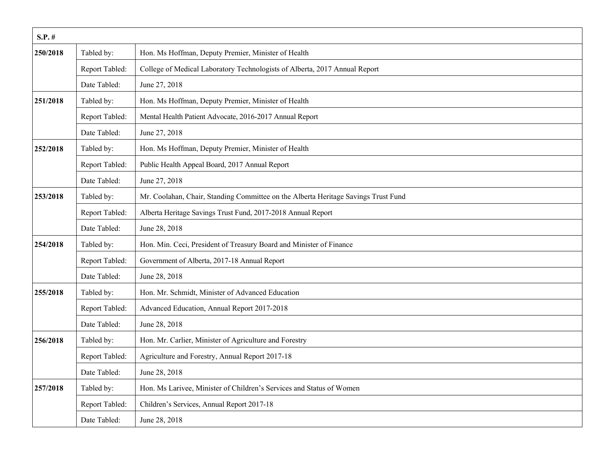| $S.P.$ # |                |                                                                                    |
|----------|----------------|------------------------------------------------------------------------------------|
| 250/2018 | Tabled by:     | Hon. Ms Hoffman, Deputy Premier, Minister of Health                                |
|          | Report Tabled: | College of Medical Laboratory Technologists of Alberta, 2017 Annual Report         |
|          | Date Tabled:   | June 27, 2018                                                                      |
| 251/2018 | Tabled by:     | Hon. Ms Hoffman, Deputy Premier, Minister of Health                                |
|          | Report Tabled: | Mental Health Patient Advocate, 2016-2017 Annual Report                            |
|          | Date Tabled:   | June 27, 2018                                                                      |
| 252/2018 | Tabled by:     | Hon. Ms Hoffman, Deputy Premier, Minister of Health                                |
|          | Report Tabled: | Public Health Appeal Board, 2017 Annual Report                                     |
|          | Date Tabled:   | June 27, 2018                                                                      |
| 253/2018 | Tabled by:     | Mr. Coolahan, Chair, Standing Committee on the Alberta Heritage Savings Trust Fund |
|          | Report Tabled: | Alberta Heritage Savings Trust Fund, 2017-2018 Annual Report                       |
|          | Date Tabled:   | June 28, 2018                                                                      |
| 254/2018 | Tabled by:     | Hon. Min. Ceci, President of Treasury Board and Minister of Finance                |
|          | Report Tabled: | Government of Alberta, 2017-18 Annual Report                                       |
|          | Date Tabled:   | June 28, 2018                                                                      |
| 255/2018 | Tabled by:     | Hon. Mr. Schmidt, Minister of Advanced Education                                   |
|          | Report Tabled: | Advanced Education, Annual Report 2017-2018                                        |
|          | Date Tabled:   | June 28, 2018                                                                      |
| 256/2018 | Tabled by:     | Hon. Mr. Carlier, Minister of Agriculture and Forestry                             |
|          | Report Tabled: | Agriculture and Forestry, Annual Report 2017-18                                    |
|          | Date Tabled:   | June 28, 2018                                                                      |
| 257/2018 | Tabled by:     | Hon. Ms Larivee, Minister of Children's Services and Status of Women               |
|          | Report Tabled: | Children's Services, Annual Report 2017-18                                         |
|          | Date Tabled:   | June 28, 2018                                                                      |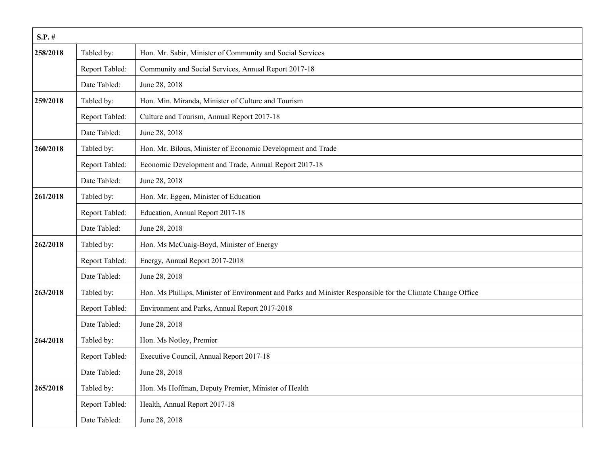| $S.P.$ # |                |                                                                                                            |
|----------|----------------|------------------------------------------------------------------------------------------------------------|
| 258/2018 | Tabled by:     | Hon. Mr. Sabir, Minister of Community and Social Services                                                  |
|          | Report Tabled: | Community and Social Services, Annual Report 2017-18                                                       |
|          | Date Tabled:   | June 28, 2018                                                                                              |
| 259/2018 | Tabled by:     | Hon. Min. Miranda, Minister of Culture and Tourism                                                         |
|          | Report Tabled: | Culture and Tourism, Annual Report 2017-18                                                                 |
|          | Date Tabled:   | June 28, 2018                                                                                              |
| 260/2018 | Tabled by:     | Hon. Mr. Bilous, Minister of Economic Development and Trade                                                |
|          | Report Tabled: | Economic Development and Trade, Annual Report 2017-18                                                      |
|          | Date Tabled:   | June 28, 2018                                                                                              |
| 261/2018 | Tabled by:     | Hon. Mr. Eggen, Minister of Education                                                                      |
|          | Report Tabled: | Education, Annual Report 2017-18                                                                           |
|          | Date Tabled:   | June 28, 2018                                                                                              |
| 262/2018 | Tabled by:     | Hon. Ms McCuaig-Boyd, Minister of Energy                                                                   |
|          | Report Tabled: | Energy, Annual Report 2017-2018                                                                            |
|          | Date Tabled:   | June 28, 2018                                                                                              |
| 263/2018 | Tabled by:     | Hon. Ms Phillips, Minister of Environment and Parks and Minister Responsible for the Climate Change Office |
|          | Report Tabled: | Environment and Parks, Annual Report 2017-2018                                                             |
|          | Date Tabled:   | June 28, 2018                                                                                              |
| 264/2018 | Tabled by:     | Hon. Ms Notley, Premier                                                                                    |
|          | Report Tabled: | Executive Council, Annual Report 2017-18                                                                   |
|          | Date Tabled:   | June 28, 2018                                                                                              |
| 265/2018 | Tabled by:     | Hon. Ms Hoffman, Deputy Premier, Minister of Health                                                        |
|          | Report Tabled: | Health, Annual Report 2017-18                                                                              |
|          | Date Tabled:   | June 28, 2018                                                                                              |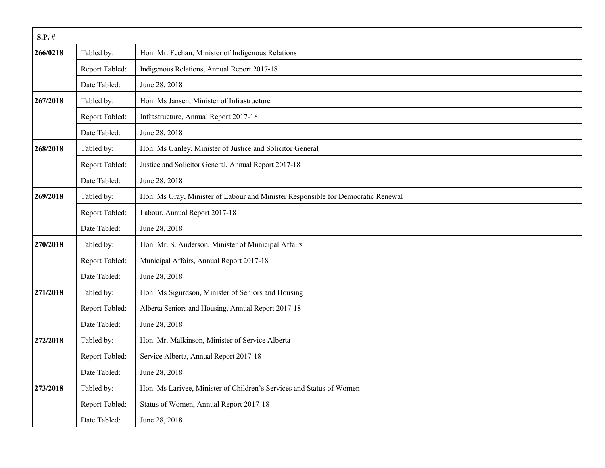| $S.P.$ # |                |                                                                                  |
|----------|----------------|----------------------------------------------------------------------------------|
| 266/0218 | Tabled by:     | Hon. Mr. Feehan, Minister of Indigenous Relations                                |
|          | Report Tabled: | Indigenous Relations, Annual Report 2017-18                                      |
|          | Date Tabled:   | June 28, 2018                                                                    |
| 267/2018 | Tabled by:     | Hon. Ms Jansen, Minister of Infrastructure                                       |
|          | Report Tabled: | Infrastructure, Annual Report 2017-18                                            |
|          | Date Tabled:   | June 28, 2018                                                                    |
| 268/2018 | Tabled by:     | Hon. Ms Ganley, Minister of Justice and Solicitor General                        |
|          | Report Tabled: | Justice and Solicitor General, Annual Report 2017-18                             |
|          | Date Tabled:   | June 28, 2018                                                                    |
| 269/2018 | Tabled by:     | Hon. Ms Gray, Minister of Labour and Minister Responsible for Democratic Renewal |
|          | Report Tabled: | Labour, Annual Report 2017-18                                                    |
|          | Date Tabled:   | June 28, 2018                                                                    |
| 270/2018 | Tabled by:     | Hon. Mr. S. Anderson, Minister of Municipal Affairs                              |
|          | Report Tabled: | Municipal Affairs, Annual Report 2017-18                                         |
|          | Date Tabled:   | June 28, 2018                                                                    |
| 271/2018 | Tabled by:     | Hon. Ms Sigurdson, Minister of Seniors and Housing                               |
|          | Report Tabled: | Alberta Seniors and Housing, Annual Report 2017-18                               |
|          | Date Tabled:   | June 28, 2018                                                                    |
| 272/2018 | Tabled by:     | Hon. Mr. Malkinson, Minister of Service Alberta                                  |
|          | Report Tabled: | Service Alberta, Annual Report 2017-18                                           |
|          | Date Tabled:   | June 28, 2018                                                                    |
| 273/2018 | Tabled by:     | Hon. Ms Larivee, Minister of Children's Services and Status of Women             |
|          | Report Tabled: | Status of Women, Annual Report 2017-18                                           |
|          | Date Tabled:   | June 28, 2018                                                                    |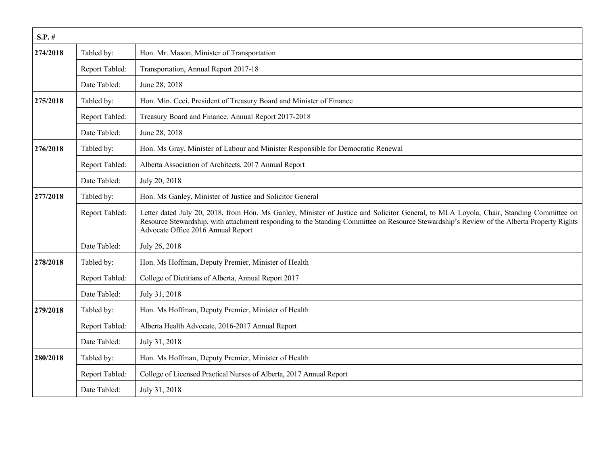| $S.P.$ # |                |                                                                                                                                                                                                                                                                                                                             |
|----------|----------------|-----------------------------------------------------------------------------------------------------------------------------------------------------------------------------------------------------------------------------------------------------------------------------------------------------------------------------|
| 274/2018 | Tabled by:     | Hon. Mr. Mason, Minister of Transportation                                                                                                                                                                                                                                                                                  |
|          | Report Tabled: | Transportation, Annual Report 2017-18                                                                                                                                                                                                                                                                                       |
|          | Date Tabled:   | June 28, 2018                                                                                                                                                                                                                                                                                                               |
| 275/2018 | Tabled by:     | Hon. Min. Ceci, President of Treasury Board and Minister of Finance                                                                                                                                                                                                                                                         |
|          | Report Tabled: | Treasury Board and Finance, Annual Report 2017-2018                                                                                                                                                                                                                                                                         |
|          | Date Tabled:   | June 28, 2018                                                                                                                                                                                                                                                                                                               |
| 276/2018 | Tabled by:     | Hon. Ms Gray, Minister of Labour and Minister Responsible for Democratic Renewal                                                                                                                                                                                                                                            |
|          | Report Tabled: | Alberta Association of Architects, 2017 Annual Report                                                                                                                                                                                                                                                                       |
|          | Date Tabled:   | July 20, 2018                                                                                                                                                                                                                                                                                                               |
| 277/2018 | Tabled by:     | Hon. Ms Ganley, Minister of Justice and Solicitor General                                                                                                                                                                                                                                                                   |
|          | Report Tabled: | Letter dated July 20, 2018, from Hon. Ms Ganley, Minister of Justice and Solicitor General, to MLA Loyola, Chair, Standing Committee on<br>Resource Stewardship, with attachment responding to the Standing Committee on Resource Stewardship's Review of the Alberta Property Rights<br>Advocate Office 2016 Annual Report |
|          | Date Tabled:   | July 26, 2018                                                                                                                                                                                                                                                                                                               |
| 278/2018 | Tabled by:     | Hon. Ms Hoffman, Deputy Premier, Minister of Health                                                                                                                                                                                                                                                                         |
|          | Report Tabled: | College of Dietitians of Alberta, Annual Report 2017                                                                                                                                                                                                                                                                        |
|          | Date Tabled:   | July 31, 2018                                                                                                                                                                                                                                                                                                               |
| 279/2018 | Tabled by:     | Hon. Ms Hoffman, Deputy Premier, Minister of Health                                                                                                                                                                                                                                                                         |
|          | Report Tabled: | Alberta Health Advocate, 2016-2017 Annual Report                                                                                                                                                                                                                                                                            |
|          | Date Tabled:   | July 31, 2018                                                                                                                                                                                                                                                                                                               |
| 280/2018 | Tabled by:     | Hon. Ms Hoffman, Deputy Premier, Minister of Health                                                                                                                                                                                                                                                                         |
|          | Report Tabled: | College of Licensed Practical Nurses of Alberta, 2017 Annual Report                                                                                                                                                                                                                                                         |
|          | Date Tabled:   | July 31, 2018                                                                                                                                                                                                                                                                                                               |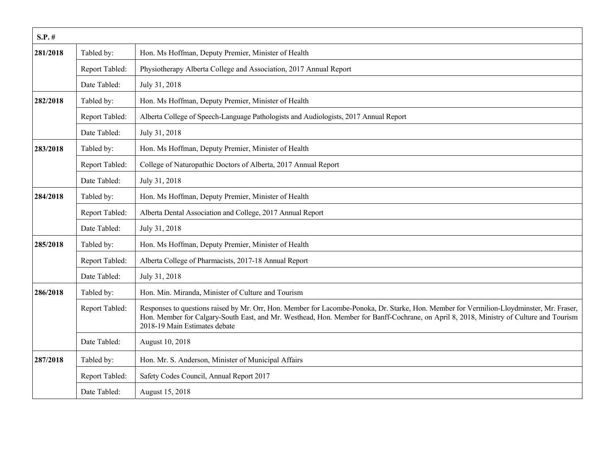| $S.P.$ # |                |                                                                                                                                                                                                                                                                                                                       |
|----------|----------------|-----------------------------------------------------------------------------------------------------------------------------------------------------------------------------------------------------------------------------------------------------------------------------------------------------------------------|
| 281/2018 | Tabled by:     | Hon. Ms Hoffman, Deputy Premier, Minister of Health                                                                                                                                                                                                                                                                   |
|          | Report Tabled: | Physiotherapy Alberta College and Association, 2017 Annual Report                                                                                                                                                                                                                                                     |
|          | Date Tabled:   | July 31, 2018                                                                                                                                                                                                                                                                                                         |
| 282/2018 | Tabled by:     | Hon. Ms Hoffman, Deputy Premier, Minister of Health                                                                                                                                                                                                                                                                   |
|          | Report Tabled: | Alberta College of Speech-Language Pathologists and Audiologists, 2017 Annual Report                                                                                                                                                                                                                                  |
|          | Date Tabled:   | July 31, 2018                                                                                                                                                                                                                                                                                                         |
| 283/2018 | Tabled by:     | Hon. Ms Hoffman, Deputy Premier, Minister of Health                                                                                                                                                                                                                                                                   |
|          | Report Tabled: | College of Naturopathic Doctors of Alberta, 2017 Annual Report                                                                                                                                                                                                                                                        |
|          | Date Tabled:   | July 31, 2018                                                                                                                                                                                                                                                                                                         |
| 284/2018 | Tabled by:     | Hon. Ms Hoffman, Deputy Premier, Minister of Health                                                                                                                                                                                                                                                                   |
|          | Report Tabled: | Alberta Dental Association and College, 2017 Annual Report                                                                                                                                                                                                                                                            |
|          | Date Tabled:   | July 31, 2018                                                                                                                                                                                                                                                                                                         |
| 285/2018 | Tabled by:     | Hon. Ms Hoffman, Deputy Premier, Minister of Health                                                                                                                                                                                                                                                                   |
|          | Report Tabled: | Alberta College of Pharmacists, 2017-18 Annual Report                                                                                                                                                                                                                                                                 |
|          | Date Tabled:   | July 31, 2018                                                                                                                                                                                                                                                                                                         |
| 286/2018 | Tabled by:     | Hon. Min. Miranda, Minister of Culture and Tourism                                                                                                                                                                                                                                                                    |
|          | Report Tabled: | Responses to questions raised by Mr. Orr, Hon. Member for Lacombe-Ponoka, Dr. Starke, Hon. Member for Vermilion-Lloydminster, Mr. Fraser,<br>Hon. Member for Calgary-South East, and Mr. Westhead, Hon. Member for Banff-Cochrane, on April 8, 2018, Ministry of Culture and Tourism<br>2018-19 Main Estimates debate |
|          | Date Tabled:   | August 10, 2018                                                                                                                                                                                                                                                                                                       |
| 287/2018 | Tabled by:     | Hon. Mr. S. Anderson, Minister of Municipal Affairs                                                                                                                                                                                                                                                                   |
|          | Report Tabled: | Safety Codes Council, Annual Report 2017                                                                                                                                                                                                                                                                              |
|          | Date Tabled:   | August 15, 2018                                                                                                                                                                                                                                                                                                       |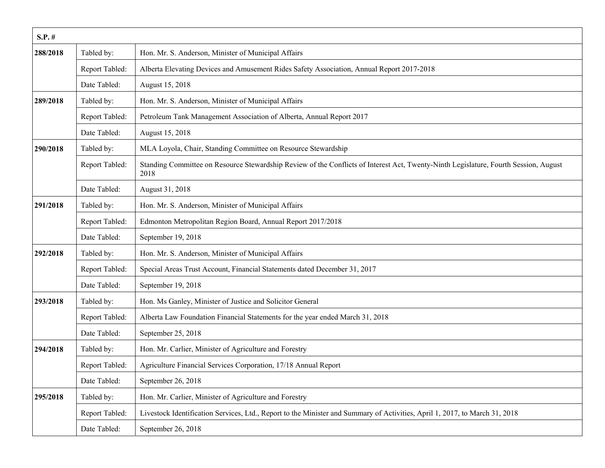| $S.P.$ # |                |                                                                                                                                              |
|----------|----------------|----------------------------------------------------------------------------------------------------------------------------------------------|
| 288/2018 | Tabled by:     | Hon. Mr. S. Anderson, Minister of Municipal Affairs                                                                                          |
|          | Report Tabled: | Alberta Elevating Devices and Amusement Rides Safety Association, Annual Report 2017-2018                                                    |
|          | Date Tabled:   | August 15, 2018                                                                                                                              |
| 289/2018 | Tabled by:     | Hon. Mr. S. Anderson, Minister of Municipal Affairs                                                                                          |
|          | Report Tabled: | Petroleum Tank Management Association of Alberta, Annual Report 2017                                                                         |
|          | Date Tabled:   | August 15, 2018                                                                                                                              |
| 290/2018 | Tabled by:     | MLA Loyola, Chair, Standing Committee on Resource Stewardship                                                                                |
|          | Report Tabled: | Standing Committee on Resource Stewardship Review of the Conflicts of Interest Act, Twenty-Ninth Legislature, Fourth Session, August<br>2018 |
|          | Date Tabled:   | August 31, 2018                                                                                                                              |
| 291/2018 | Tabled by:     | Hon. Mr. S. Anderson, Minister of Municipal Affairs                                                                                          |
|          | Report Tabled: | Edmonton Metropolitan Region Board, Annual Report 2017/2018                                                                                  |
|          | Date Tabled:   | September 19, 2018                                                                                                                           |
| 292/2018 | Tabled by:     | Hon. Mr. S. Anderson, Minister of Municipal Affairs                                                                                          |
|          | Report Tabled: | Special Areas Trust Account, Financial Statements dated December 31, 2017                                                                    |
|          | Date Tabled:   | September 19, 2018                                                                                                                           |
| 293/2018 | Tabled by:     | Hon. Ms Ganley, Minister of Justice and Solicitor General                                                                                    |
|          | Report Tabled: | Alberta Law Foundation Financial Statements for the year ended March 31, 2018                                                                |
|          | Date Tabled:   | September 25, 2018                                                                                                                           |
| 294/2018 | Tabled by:     | Hon. Mr. Carlier, Minister of Agriculture and Forestry                                                                                       |
|          | Report Tabled: | Agriculture Financial Services Corporation, 17/18 Annual Report                                                                              |
|          | Date Tabled:   | September 26, 2018                                                                                                                           |
| 295/2018 | Tabled by:     | Hon. Mr. Carlier, Minister of Agriculture and Forestry                                                                                       |
|          | Report Tabled: | Livestock Identification Services, Ltd., Report to the Minister and Summary of Activities, April 1, 2017, to March 31, 2018                  |
|          | Date Tabled:   | September 26, 2018                                                                                                                           |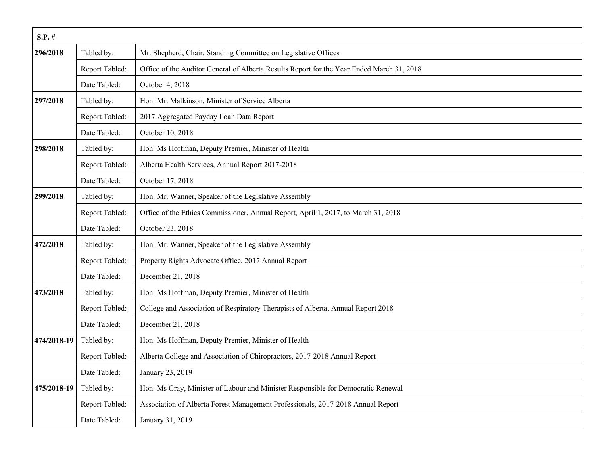| $S.P.$ #    |                |                                                                                           |
|-------------|----------------|-------------------------------------------------------------------------------------------|
| 296/2018    | Tabled by:     | Mr. Shepherd, Chair, Standing Committee on Legislative Offices                            |
|             | Report Tabled: | Office of the Auditor General of Alberta Results Report for the Year Ended March 31, 2018 |
|             | Date Tabled:   | October 4, 2018                                                                           |
| 297/2018    | Tabled by:     | Hon. Mr. Malkinson, Minister of Service Alberta                                           |
|             | Report Tabled: | 2017 Aggregated Payday Loan Data Report                                                   |
|             | Date Tabled:   | October 10, 2018                                                                          |
| 298/2018    | Tabled by:     | Hon. Ms Hoffman, Deputy Premier, Minister of Health                                       |
|             | Report Tabled: | Alberta Health Services, Annual Report 2017-2018                                          |
|             | Date Tabled:   | October 17, 2018                                                                          |
| 299/2018    | Tabled by:     | Hon. Mr. Wanner, Speaker of the Legislative Assembly                                      |
|             | Report Tabled: | Office of the Ethics Commissioner, Annual Report, April 1, 2017, to March 31, 2018        |
|             | Date Tabled:   | October 23, 2018                                                                          |
| 472/2018    | Tabled by:     | Hon. Mr. Wanner, Speaker of the Legislative Assembly                                      |
|             | Report Tabled: | Property Rights Advocate Office, 2017 Annual Report                                       |
|             | Date Tabled:   | December 21, 2018                                                                         |
| 473/2018    | Tabled by:     | Hon. Ms Hoffman, Deputy Premier, Minister of Health                                       |
|             | Report Tabled: | College and Association of Respiratory Therapists of Alberta, Annual Report 2018          |
|             | Date Tabled:   | December 21, 2018                                                                         |
| 474/2018-19 | Tabled by:     | Hon. Ms Hoffman, Deputy Premier, Minister of Health                                       |
|             | Report Tabled: | Alberta College and Association of Chiropractors, 2017-2018 Annual Report                 |
|             | Date Tabled:   | January 23, 2019                                                                          |
| 475/2018-19 | Tabled by:     | Hon. Ms Gray, Minister of Labour and Minister Responsible for Democratic Renewal          |
|             | Report Tabled: | Association of Alberta Forest Management Professionals, 2017-2018 Annual Report           |
|             | Date Tabled:   | January 31, 2019                                                                          |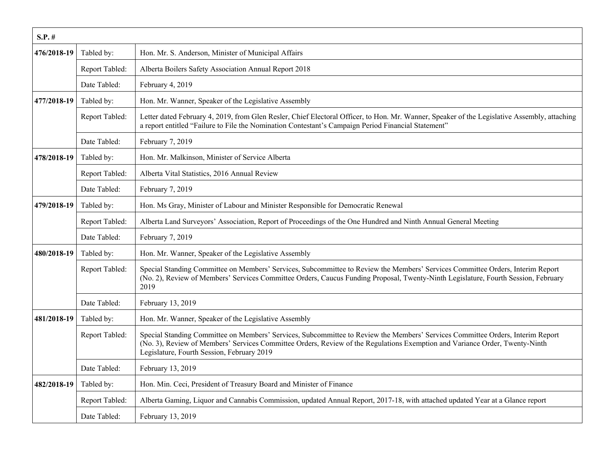| $S.P.$ #    |                |                                                                                                                                                                                                                                                                                                             |
|-------------|----------------|-------------------------------------------------------------------------------------------------------------------------------------------------------------------------------------------------------------------------------------------------------------------------------------------------------------|
| 476/2018-19 | Tabled by:     | Hon. Mr. S. Anderson, Minister of Municipal Affairs                                                                                                                                                                                                                                                         |
|             | Report Tabled: | Alberta Boilers Safety Association Annual Report 2018                                                                                                                                                                                                                                                       |
|             | Date Tabled:   | February 4, 2019                                                                                                                                                                                                                                                                                            |
| 477/2018-19 | Tabled by:     | Hon. Mr. Wanner, Speaker of the Legislative Assembly                                                                                                                                                                                                                                                        |
|             | Report Tabled: | Letter dated February 4, 2019, from Glen Resler, Chief Electoral Officer, to Hon. Mr. Wanner, Speaker of the Legislative Assembly, attaching<br>a report entitled "Failure to File the Nomination Contestant's Campaign Period Financial Statement"                                                         |
|             | Date Tabled:   | February 7, 2019                                                                                                                                                                                                                                                                                            |
| 478/2018-19 | Tabled by:     | Hon. Mr. Malkinson, Minister of Service Alberta                                                                                                                                                                                                                                                             |
|             | Report Tabled: | Alberta Vital Statistics, 2016 Annual Review                                                                                                                                                                                                                                                                |
|             | Date Tabled:   | February 7, 2019                                                                                                                                                                                                                                                                                            |
| 479/2018-19 | Tabled by:     | Hon. Ms Gray, Minister of Labour and Minister Responsible for Democratic Renewal                                                                                                                                                                                                                            |
|             | Report Tabled: | Alberta Land Surveyors' Association, Report of Proceedings of the One Hundred and Ninth Annual General Meeting                                                                                                                                                                                              |
|             | Date Tabled:   | February 7, 2019                                                                                                                                                                                                                                                                                            |
| 480/2018-19 | Tabled by:     | Hon. Mr. Wanner, Speaker of the Legislative Assembly                                                                                                                                                                                                                                                        |
|             | Report Tabled: | Special Standing Committee on Members' Services, Subcommittee to Review the Members' Services Committee Orders, Interim Report<br>(No. 2), Review of Members' Services Committee Orders, Caucus Funding Proposal, Twenty-Ninth Legislature, Fourth Session, February<br>2019                                |
|             | Date Tabled:   | February 13, 2019                                                                                                                                                                                                                                                                                           |
| 481/2018-19 | Tabled by:     | Hon. Mr. Wanner, Speaker of the Legislative Assembly                                                                                                                                                                                                                                                        |
|             | Report Tabled: | Special Standing Committee on Members' Services, Subcommittee to Review the Members' Services Committee Orders, Interim Report<br>(No. 3), Review of Members' Services Committee Orders, Review of the Regulations Exemption and Variance Order, Twenty-Ninth<br>Legislature, Fourth Session, February 2019 |
|             | Date Tabled:   | February 13, 2019                                                                                                                                                                                                                                                                                           |
| 482/2018-19 | Tabled by:     | Hon. Min. Ceci, President of Treasury Board and Minister of Finance                                                                                                                                                                                                                                         |
|             | Report Tabled: | Alberta Gaming, Liquor and Cannabis Commission, updated Annual Report, 2017-18, with attached updated Year at a Glance report                                                                                                                                                                               |
|             | Date Tabled:   | February 13, 2019                                                                                                                                                                                                                                                                                           |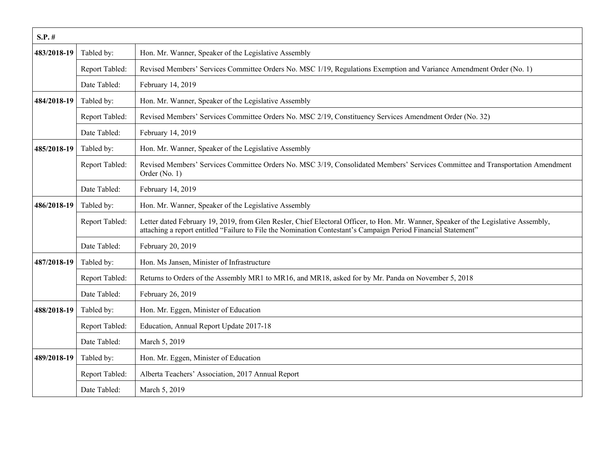| $S.P.$ #    |                |                                                                                                                                                                                                                                                      |
|-------------|----------------|------------------------------------------------------------------------------------------------------------------------------------------------------------------------------------------------------------------------------------------------------|
| 483/2018-19 | Tabled by:     | Hon. Mr. Wanner, Speaker of the Legislative Assembly                                                                                                                                                                                                 |
|             | Report Tabled: | Revised Members' Services Committee Orders No. MSC 1/19, Regulations Exemption and Variance Amendment Order (No. 1)                                                                                                                                  |
|             | Date Tabled:   | February 14, 2019                                                                                                                                                                                                                                    |
| 484/2018-19 | Tabled by:     | Hon. Mr. Wanner, Speaker of the Legislative Assembly                                                                                                                                                                                                 |
|             | Report Tabled: | Revised Members' Services Committee Orders No. MSC 2/19, Constituency Services Amendment Order (No. 32)                                                                                                                                              |
|             | Date Tabled:   | February 14, 2019                                                                                                                                                                                                                                    |
| 485/2018-19 | Tabled by:     | Hon. Mr. Wanner, Speaker of the Legislative Assembly                                                                                                                                                                                                 |
|             | Report Tabled: | Revised Members' Services Committee Orders No. MSC 3/19, Consolidated Members' Services Committee and Transportation Amendment<br>Order (No. 1)                                                                                                      |
|             | Date Tabled:   | February 14, 2019                                                                                                                                                                                                                                    |
| 486/2018-19 | Tabled by:     | Hon. Mr. Wanner, Speaker of the Legislative Assembly                                                                                                                                                                                                 |
|             | Report Tabled: | Letter dated February 19, 2019, from Glen Resler, Chief Electoral Officer, to Hon. Mr. Wanner, Speaker of the Legislative Assembly,<br>attaching a report entitled "Failure to File the Nomination Contestant's Campaign Period Financial Statement" |
|             | Date Tabled:   | February 20, 2019                                                                                                                                                                                                                                    |
| 487/2018-19 | Tabled by:     | Hon. Ms Jansen, Minister of Infrastructure                                                                                                                                                                                                           |
|             | Report Tabled: | Returns to Orders of the Assembly MR1 to MR16, and MR18, asked for by Mr. Panda on November 5, 2018                                                                                                                                                  |
|             | Date Tabled:   | February 26, 2019                                                                                                                                                                                                                                    |
| 488/2018-19 | Tabled by:     | Hon. Mr. Eggen, Minister of Education                                                                                                                                                                                                                |
|             | Report Tabled: | Education, Annual Report Update 2017-18                                                                                                                                                                                                              |
|             | Date Tabled:   | March 5, 2019                                                                                                                                                                                                                                        |
| 489/2018-19 | Tabled by:     | Hon. Mr. Eggen, Minister of Education                                                                                                                                                                                                                |
|             | Report Tabled: | Alberta Teachers' Association, 2017 Annual Report                                                                                                                                                                                                    |
|             | Date Tabled:   | March 5, 2019                                                                                                                                                                                                                                        |